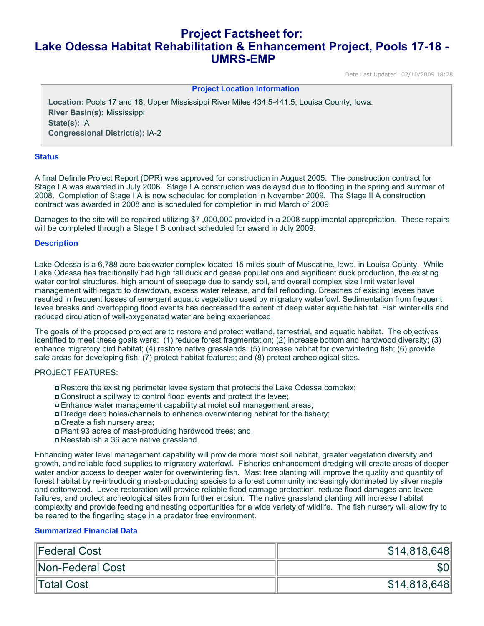# **Project Factsheet for: Lake Odessa Habitat Rehabilitation & Enhancement Project, Pools 17-18 - UMRS-EMP**

Date Last Updated: 02/10/2009 18:28

#### **Project Location Information**

**Location:** Pools 17 and 18, Upper Mississippi River Miles 434.5-441.5, Louisa County, Iowa. **River Basin(s):** Mississippi **State(s):** IA **Congressional District(s):** IA-2

## **Status**

A final Definite Project Report (DPR) was approved for construction in August 2005. The construction contract for Stage I A was awarded in July 2006. Stage I A construction was delayed due to flooding in the spring and summer of 2008. Completion of Stage I A is now scheduled for completion in November 2009. The Stage II A construction contract was awarded in 2008 and is scheduled for completion in mid March of 2009.

Damages to the site will be repaired utilizing \$7,000,000 provided in a 2008 supplimental appropriation. These repairs will be completed through a Stage I B contract scheduled for award in July 2009.

#### **Description**

Lake Odessa is a 6,788 acre backwater complex located 15 miles south of Muscatine, Iowa, in Louisa County. While Lake Odessa has traditionally had high fall duck and geese populations and significant duck production, the existing water control structures, high amount of seepage due to sandy soil, and overall complex size limit water level management with regard to drawdown, excess water release, and fall reflooding. Breaches of existing levees have resulted in frequent losses of emergent aquatic vegetation used by migratory waterfowl. Sedimentation from frequent levee breaks and overtopping flood events has decreased the extent of deep water aquatic habitat. Fish winterkills and reduced circulation of well-oxygenated water are being experienced.

The goals of the proposed project are to restore and protect wetland, terrestrial, and aquatic habitat. The objectives identified to meet these goals were: (1) reduce forest fragmentation; (2) increase bottomland hardwood diversity; (3) enhance migratory bird habitat; (4) restore native grasslands; (5) increase habitat for overwintering fish; (6) provide safe areas for developing fish; (7) protect habitat features; and (8) protect archeological sites.

#### PROJECT FEATURES:

- Restore the existing perimeter levee system that protects the Lake Odessa complex;
- Construct a spillway to control flood events and protect the levee;
- Enhance water management capability at moist soil management areas;
- Dredge deep holes/channels to enhance overwintering habitat for the fishery;
- Create a fish nursery area;
- Plant 93 acres of mast-producing hardwood trees; and,
- Reestablish a 36 acre native grassland.

Enhancing water level management capability will provide more moist soil habitat, greater vegetation diversity and growth, and reliable food supplies to migratory waterfowl. Fisheries enhancement dredging will create areas of deeper water and/or access to deeper water for overwintering fish. Mast tree planting will improve the quality and quantity of forest habitat by re-introducing mast-producing species to a forest community increasingly dominated by silver maple and cottonwood. Levee restoration will provide reliable flood damage protection, reduce flood damages and levee failures, and protect archeological sites from further erosion. The native grassland planting will increase habitat complexity and provide feeding and nesting opportunities for a wide variety of wildlife. The fish nursery will allow fry to be reared to the fingerling stage in a predator free environment.

## **Summarized Financial Data**

| Federal Cost     | \$14,818,648 |
|------------------|--------------|
| Non-Federal Cost |              |
| Total Cost       | \$14,818,648 |